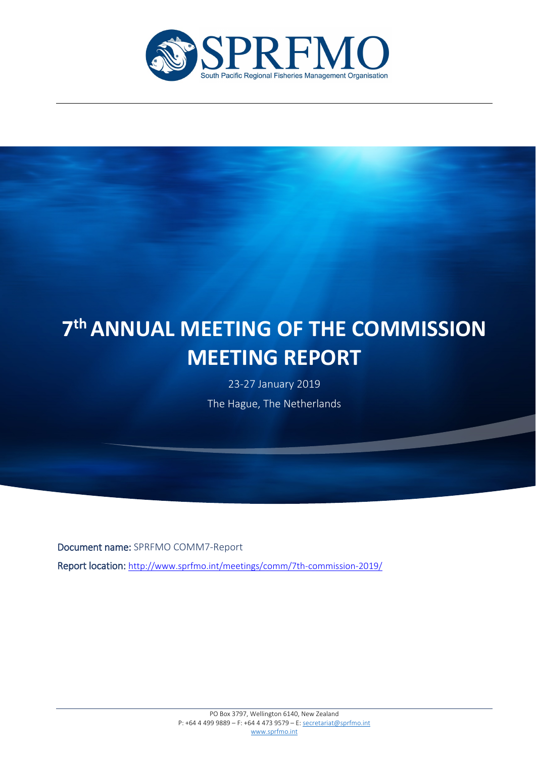

# **7th ANNUAL MEETING OF THE COMMISSION MEETING REPORT**

23-27 January 2019

The Hague, The Netherlands

Document name: SPRFMO COMM7-Report

j

Report location:<http://www.sprfmo.int/meetings/comm/7th-commission-2019/>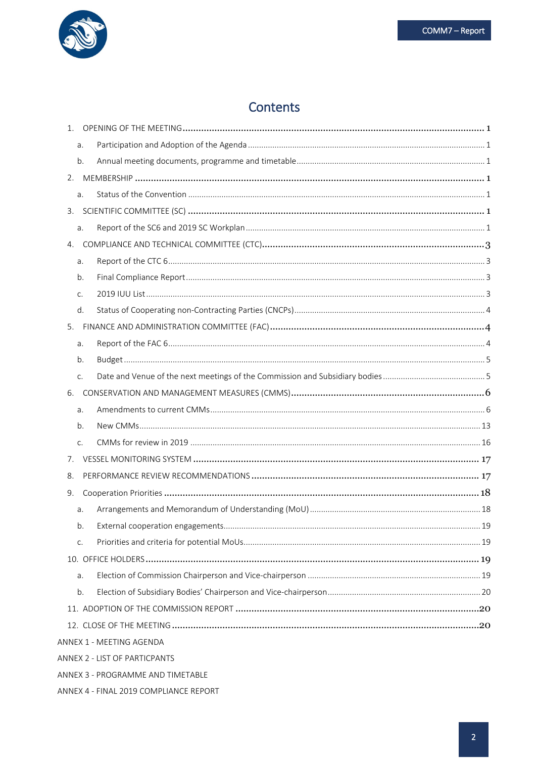

# Contents

| 1.                                |  |
|-----------------------------------|--|
| a.                                |  |
| b.                                |  |
|                                   |  |
| a.                                |  |
| 3.                                |  |
| a.                                |  |
| 4.                                |  |
| a.                                |  |
| b.                                |  |
| C.                                |  |
| d.                                |  |
| 5.                                |  |
| a.                                |  |
| b.                                |  |
| C.                                |  |
| 6.                                |  |
| a.                                |  |
| b.                                |  |
| C.                                |  |
| 7.                                |  |
| 8.                                |  |
| 9.                                |  |
| a.                                |  |
| b.                                |  |
| C.                                |  |
|                                   |  |
| a.                                |  |
| b.                                |  |
|                                   |  |
|                                   |  |
| ANNEX 1 - MEETING AGENDA          |  |
| ANNEX 2 - LIST OF PARTICPANTS     |  |
| ANNEX 3 - PROGRAMME AND TIMETABLE |  |

ANNEX 4 - FINAL 2019 COMPLIANCE REPORT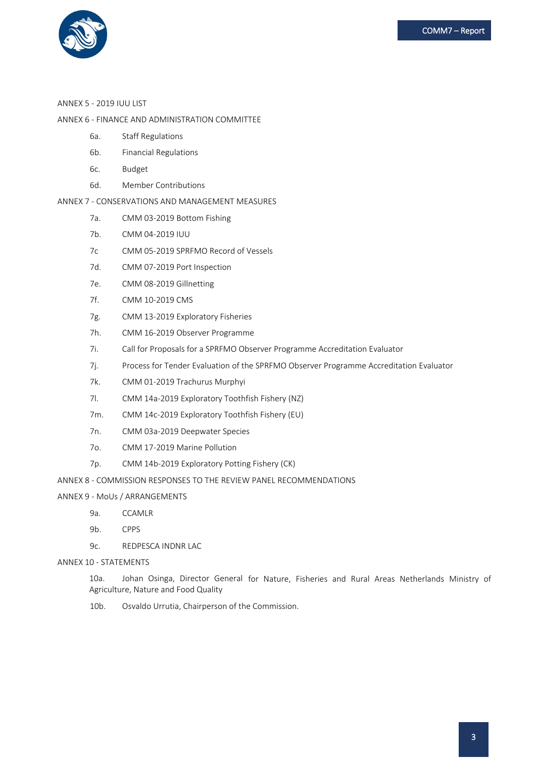

#### ANNEX 5 - 2019 IUU LIST

#### ANNEX 6 - FINANCE AND ADMINISTRATION COMMITTEE

- 6a. Staff Regulations
- 6b. Financial Regulations
- 6c. Budget
- 6d. Member Contributions

#### ANNEX 7 - CONSERVATIONS AND MANAGEMENT MEASURES

- 7a. CMM 03-2019 Bottom Fishing
- 7b. CMM 04-2019 IUU
- 7c CMM 05-2019 SPRFMO Record of Vessels
- 7d. CMM 07-2019 Port Inspection
- 7e. CMM 08-2019 Gillnetting
- 7f. CMM 10-2019 CMS
- 7g. CMM 13-2019 Exploratory Fisheries
- 7h. CMM 16-2019 Observer Programme
- 7i. Call for Proposals for a SPRFMO Observer Programme Accreditation Evaluator
- 7j. Process for Tender Evaluation of the SPRFMO Observer Programme Accreditation Evaluator
- 7k. CMM 01-2019 Trachurus Murphyi
- 7l. CMM 14a-2019 Exploratory Toothfish Fishery (NZ)
- 7m. CMM 14c-2019 Exploratory Toothfish Fishery (EU)
- 7n. CMM 03a-2019 Deepwater Species
- 7o. CMM 17-2019 Marine Pollution
- 7p. CMM 14b-2019 Exploratory Potting Fishery (CK)

#### ANNEX 8 - COMMISSION RESPONSES TO THE REVIEW PANEL RECOMMENDATIONS

# ANNEX 9 - MoUs / ARRANGEMENTS

- 9a. CCAMLR
- 9b. CPPS
- 9c. REDPESCA INDNR LAC

#### ANNEX 10 - STATEMENTS

10a. Johan Osinga, Director General for Nature, Fisheries and Rural Areas Netherlands Ministry of Agriculture, Nature and Food Quality

10b. Osvaldo Urrutia, Chairperson of the Commission.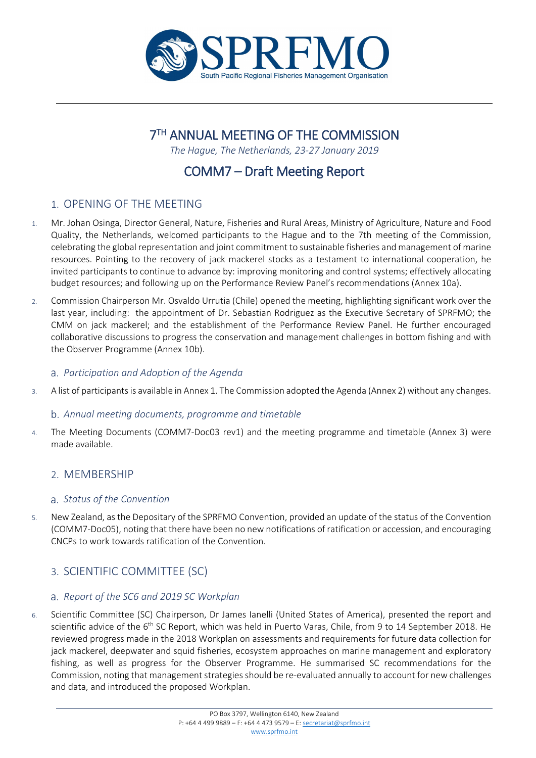

# 7TH ANNUAL MEETING OF THE COMMISSION

*The Hague, The Netherlands, 23-27 January 2019*

# COMM7 – Draft Meeting Report

# <span id="page-3-0"></span>1. OPENING OF THE MEETING

- 1. Mr. Johan Osinga, Director General, Nature, Fisheries and Rural Areas, Ministry of Agriculture, Nature and Food Quality, the Netherlands, welcomed participants to the Hague and to the 7th meeting of the Commission, celebrating the global representation and joint commitment to sustainable fisheries and management of marine resources. Pointing to the recovery of jack mackerel stocks as a testament to international cooperation, he invited participants to continue to advance by: improving monitoring and control systems; effectively allocating budget resources; and following up on the Performance Review Panel's recommendations (Annex 10a).
- 2. Commission Chairperson Mr. Osvaldo Urrutia (Chile) opened the meeting, highlighting significant work over the last year, including: the appointment of Dr. Sebastian Rodriguez as the Executive Secretary of SPRFMO; the CMM on jack mackerel; and the establishment of the Performance Review Panel. He further encouraged collaborative discussions to progress the conservation and management challenges in bottom fishing and with the Observer Programme (Annex 10b).

# <span id="page-3-1"></span>*Participation and Adoption of the Agenda*

3. A list of participants is available in Annex 1. The Commission adopted the Agenda (Annex 2) without any changes.

# <span id="page-3-2"></span>*Annual meeting documents, programme and timetable*

4. The Meeting Documents (COMM7-Doc03 rev1) and the meeting programme and timetable (Annex 3) were made available.

# <span id="page-3-3"></span>2. MEMBERSHIP

# <span id="page-3-4"></span>*Status of the Convention*

5. New Zealand, as the Depositary of the SPRFMO Convention, provided an update of the status of the Convention (COMM7-Doc05), noting that there have been no new notifications of ratification or accession, and encouraging CNCPs to work towards ratification of the Convention.

# <span id="page-3-5"></span>3. SCIENTIFIC COMMITTEE (SC)

# <span id="page-3-6"></span>*Report of the SC6 and 2019 SC Workplan*

6. Scientific Committee (SC) Chairperson, Dr James Ianelli (United States of America), presented the report and scientific advice of the 6<sup>th</sup> SC Report, which was held in Puerto Varas, Chile, from 9 to 14 September 2018. He reviewed progress made in the 2018 Workplan on assessments and requirements for future data collection for jack mackerel, deepwater and squid fisheries, ecosystem approaches on marine management and exploratory fishing, as well as progress for the Observer Programme. He summarised SC recommendations for the Commission, noting that management strategies should be re-evaluated annually to account for new challenges and data, and introduced the proposed Workplan.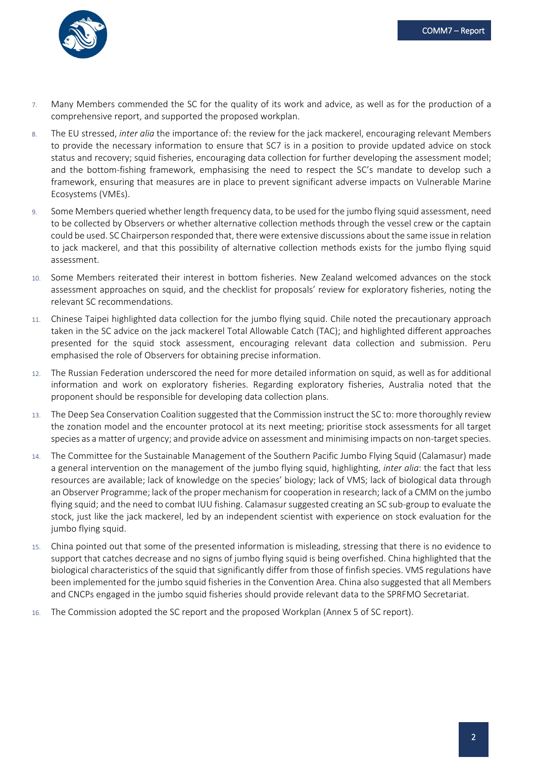

- 7. Many Members commended the SC for the quality of its work and advice, as well as for the production of a comprehensive report, and supported the proposed workplan.
- 8. The EU stressed, *inter alia* the importance of: the review for the jack mackerel, encouraging relevant Members to provide the necessary information to ensure that SC7 is in a position to provide updated advice on stock status and recovery; squid fisheries, encouraging data collection for further developing the assessment model; and the bottom-fishing framework, emphasising the need to respect the SC's mandate to develop such a framework, ensuring that measures are in place to prevent significant adverse impacts on Vulnerable Marine Ecosystems (VMEs).
- 9. Some Members queried whether length frequency data, to be used for the jumbo flying squid assessment, need to be collected by Observers or whether alternative collection methods through the vessel crew or the captain could be used. SC Chairperson responded that, there were extensive discussions about the same issue in relation to jack mackerel, and that this possibility of alternative collection methods exists for the jumbo flying squid assessment.
- 10. Some Members reiterated their interest in bottom fisheries. New Zealand welcomed advances on the stock assessment approaches on squid, and the checklist for proposals' review for exploratory fisheries, noting the relevant SC recommendations.
- 11. Chinese Taipei highlighted data collection for the jumbo flying squid. Chile noted the precautionary approach taken in the SC advice on the jack mackerel Total Allowable Catch (TAC); and highlighted different approaches presented for the squid stock assessment, encouraging relevant data collection and submission. Peru emphasised the role of Observers for obtaining precise information.
- 12. The Russian Federation underscored the need for more detailed information on squid, as well as for additional information and work on exploratory fisheries. Regarding exploratory fisheries, Australia noted that the proponent should be responsible for developing data collection plans.
- 13. The Deep Sea Conservation Coalition suggested that the Commission instruct the SC to: more thoroughly review the zonation model and the encounter protocol at its next meeting; prioritise stock assessments for all target species as a matter of urgency; and provide advice on assessment and minimising impacts on non-target species.
- 14. The Committee for the Sustainable Management of the Southern Pacific Jumbo Flying Squid (Calamasur) made a general intervention on the management of the jumbo flying squid, highlighting, *inter alia*: the fact that less resources are available; lack of knowledge on the species' biology; lack of VMS; lack of biological data through an Observer Programme; lack of the proper mechanism for cooperation in research; lack of a CMM on the jumbo flying squid; and the need to combat IUU fishing. Calamasur suggested creating an SC sub-group to evaluate the stock, just like the jack mackerel, led by an independent scientist with experience on stock evaluation for the jumbo flying squid.
- 15. China pointed out that some of the presented information is misleading, stressing that there is no evidence to support that catches decrease and no signs of jumbo flying squid is being overfished. China highlighted that the biological characteristics of the squid that significantly differ from those of finfish species. VMS regulations have been implemented for the jumbo squid fisheries in the Convention Area. China also suggested that all Members and CNCPs engaged in the jumbo squid fisheries should provide relevant data to the SPRFMO Secretariat.
- 16. The Commission adopted the SC report and the proposed Workplan (Annex 5 of SC report).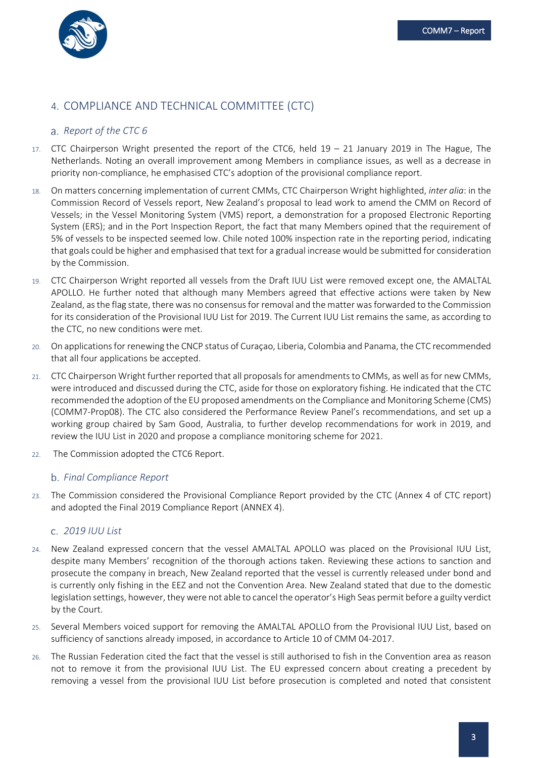

# <span id="page-5-0"></span>4. COMPLIANCE AND TECHNICAL COMMITTEE (CTC)

# <span id="page-5-1"></span>*Report of the CTC 6*

- 17. CTC Chairperson Wright presented the report of the CTC6, held  $19 21$  January 2019 in The Hague, The Netherlands. Noting an overall improvement among Members in compliance issues, as well as a decrease in priority non-compliance, he emphasised CTC's adoption of the provisional compliance report.
- 18. On matters concerning implementation of current CMMs, CTC Chairperson Wright highlighted, *inter alia*: in the Commission Record of Vessels report, New Zealand's proposal to lead work to amend the CMM on Record of Vessels; in the Vessel Monitoring System (VMS) report, a demonstration for a proposed Electronic Reporting System (ERS); and in the Port Inspection Report, the fact that many Members opined that the requirement of 5% of vessels to be inspected seemed low. Chile noted 100% inspection rate in the reporting period, indicating that goals could be higher and emphasised that text for a gradual increase would be submitted for consideration by the Commission.
- 19. CTC Chairperson Wright reported all vessels from the Draft IUU List were removed except one, the AMALTAL APOLLO. He further noted that although many Members agreed that effective actions were taken by New Zealand, as the flag state, there was no consensus for removal and the matter was forwarded to the Commission for its consideration of the Provisional IUU List for 2019. The Current IUU List remains the same, as according to the CTC, no new conditions were met.
- 20. On applications for renewing the CNCP status of Curaçao, Liberia, Colombia and Panama, the CTC recommended that all four applications be accepted.
- 21. CTC Chairperson Wright further reported that all proposals for amendments to CMMs, as well as for new CMMs, were introduced and discussed during the CTC, aside for those on exploratory fishing. He indicated that the CTC recommended the adoption of the EU proposed amendments on the Compliance and Monitoring Scheme (CMS) (COMM7-Prop08). The CTC also considered the Performance Review Panel's recommendations, and set up a working group chaired by Sam Good, Australia, to further develop recommendations for work in 2019, and review the IUU List in 2020 and propose a compliance monitoring scheme for 2021.
- 22. The Commission adopted the CTC6 Report.

## <span id="page-5-2"></span>*Final Compliance Report*

23. The Commission considered the Provisional Compliance Report provided by the CTC (Annex 4 of CTC report) and adopted the Final 2019 Compliance Report (ANNEX 4).

# <span id="page-5-3"></span>*2019 IUU List*

- 24. New Zealand expressed concern that the vessel AMALTAL APOLLO was placed on the Provisional IUU List, despite many Members' recognition of the thorough actions taken. Reviewing these actions to sanction and prosecute the company in breach, New Zealand reported that the vessel is currently released under bond and is currently only fishing in the EEZ and not the Convention Area. New Zealand stated that due to the domestic legislation settings, however, they were not able to cancel the operator's High Seas permit before a guilty verdict by the Court.
- 25. Several Members voiced support for removing the AMALTAL APOLLO from the Provisional IUU List, based on sufficiency of sanctions already imposed, in accordance to Article 10 of CMM 04-2017.
- 26. The Russian Federation cited the fact that the vessel is still authorised to fish in the Convention area as reason not to remove it from the provisional IUU List. The EU expressed concern about creating a precedent by removing a vessel from the provisional IUU List before prosecution is completed and noted that consistent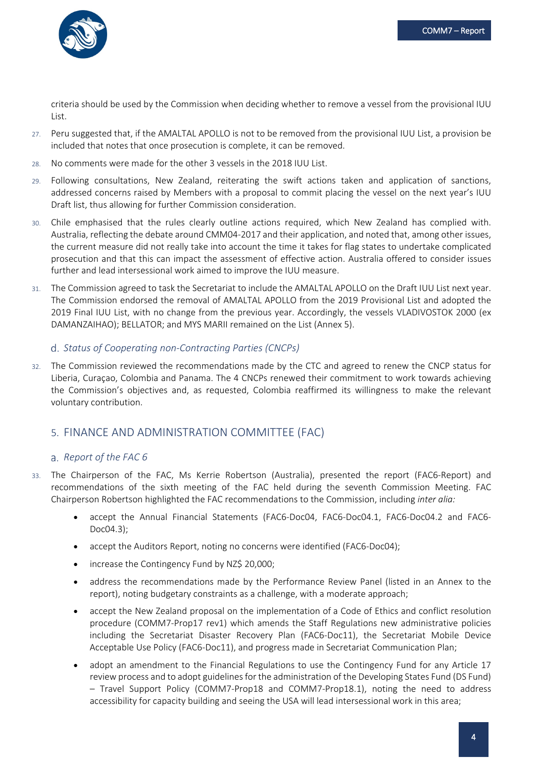

criteria should be used by the Commission when deciding whether to remove a vessel from the provisional IUU List.

- 27. Peru suggested that, if the AMALTAL APOLLO is not to be removed from the provisional IUU List, a provision be included that notes that once prosecution is complete, it can be removed.
- 28. No comments were made for the other 3 vessels in the 2018 IUU List.
- 29. Following consultations, New Zealand, reiterating the swift actions taken and application of sanctions, addressed concerns raised by Members with a proposal to commit placing the vessel on the next year's IUU Draft list, thus allowing for further Commission consideration.
- 30. Chile emphasised that the rules clearly outline actions required, which New Zealand has complied with. Australia, reflecting the debate around CMM04-2017 and their application, and noted that, among other issues, the current measure did not really take into account the time it takes for flag states to undertake complicated prosecution and that this can impact the assessment of effective action. Australia offered to consider issues further and lead intersessional work aimed to improve the IUU measure.
- 31. The Commission agreed to task the Secretariat to include the AMALTAL APOLLO on the Draft IUU List next year. The Commission endorsed the removal of AMALTAL APOLLO from the 2019 Provisional List and adopted the 2019 Final IUU List, with no change from the previous year. Accordingly, the vessels VLADIVOSTOK 2000 (ex DAMANZAIHAO); BELLATOR; and MYS MARII remained on the List (Annex 5).

# <span id="page-6-0"></span>*Status of Cooperating non-Contracting Parties (CNCPs)*

32. The Commission reviewed the recommendations made by the CTC and agreed to renew the CNCP status for Liberia, Curaçao, Colombia and Panama. The 4 CNCPs renewed their commitment to work towards achieving the Commission's objectives and, as requested, Colombia reaffirmed its willingness to make the relevant voluntary contribution.

# <span id="page-6-1"></span>5. FINANCE AND ADMINISTRATION COMMITTEE (FAC)

## <span id="page-6-2"></span>*Report of the FAC 6*

- 33. The Chairperson of the FAC, Ms Kerrie Robertson (Australia), presented the report (FAC6-Report) and recommendations of the sixth meeting of the FAC held during the seventh Commission Meeting. FAC Chairperson Robertson highlighted the FAC recommendations to the Commission, including *inter alia:*
	- accept the Annual Financial Statements (FAC6-Doc04, FAC6-Doc04.1, FAC6-Doc04.2 and FAC6- Doc04.3);
	- accept the Auditors Report, noting no concerns were identified (FAC6-Doc04);
	- increase the Contingency Fund by NZ\$ 20,000;
	- address the recommendations made by the Performance Review Panel (listed in an Annex to the report), noting budgetary constraints as a challenge, with a moderate approach;
	- accept the New Zealand proposal on the implementation of a Code of Ethics and conflict resolution procedure (COMM7-Prop17 rev1) which amends the Staff Regulations new administrative policies including the Secretariat Disaster Recovery Plan (FAC6-Doc11), the Secretariat Mobile Device Acceptable Use Policy (FAC6-Doc11), and progress made in Secretariat Communication Plan;
	- adopt an amendment to the Financial Regulations to use the Contingency Fund for any Article 17 review process and to adopt guidelines for the administration of the Developing States Fund (DS Fund) – Travel Support Policy (COMM7-Prop18 and COMM7-Prop18.1), noting the need to address accessibility for capacity building and seeing the USA will lead intersessional work in this area;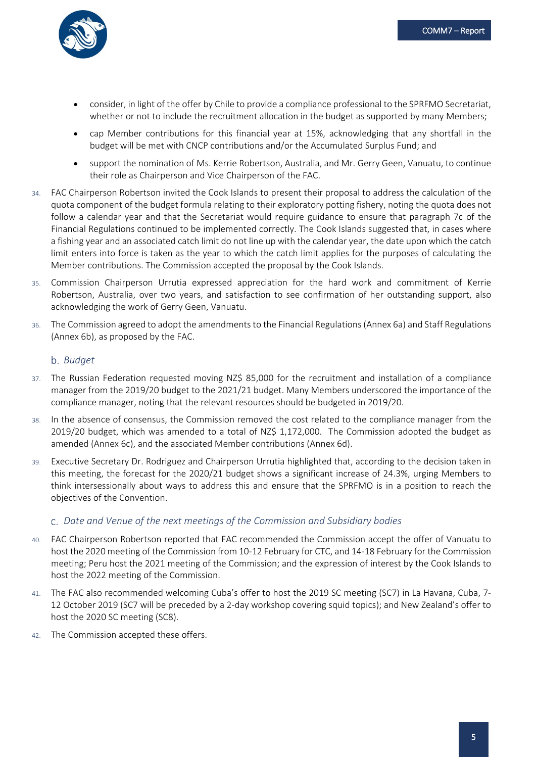- consider, in light of the offer by Chile to provide a compliance professional to the SPRFMO Secretariat, whether or not to include the recruitment allocation in the budget as supported by many Members;
- cap Member contributions for this financial year at 15%, acknowledging that any shortfall in the budget will be met with CNCP contributions and/or the Accumulated Surplus Fund; and
- support the nomination of Ms. Kerrie Robertson, Australia, and Mr. Gerry Geen, Vanuatu, to continue their role as Chairperson and Vice Chairperson of the FAC.
- 34. FAC Chairperson Robertson invited the Cook Islands to present their proposal to address the calculation of the quota component of the budget formula relating to their exploratory potting fishery, noting the quota does not follow a calendar year and that the Secretariat would require guidance to ensure that paragraph 7c of the Financial Regulations continued to be implemented correctly. The Cook Islands suggested that, in cases where a fishing year and an associated catch limit do not line up with the calendar year, the date upon which the catch limit enters into force is taken as the year to which the catch limit applies for the purposes of calculating the Member contributions. The Commission accepted the proposal by the Cook Islands.
- 35. Commission Chairperson Urrutia expressed appreciation for the hard work and commitment of Kerrie Robertson, Australia, over two years, and satisfaction to see confirmation of her outstanding support, also acknowledging the work of Gerry Geen, Vanuatu.
- 36. The Commission agreed to adopt the amendments to the Financial Regulations (Annex 6a) and Staff Regulations (Annex 6b), as proposed by the FAC.

## <span id="page-7-0"></span>*Budget*

- 37. The Russian Federation requested moving NZ\$ 85,000 for the recruitment and installation of a compliance manager from the 2019/20 budget to the 2021/21 budget. Many Members underscored the importance of the compliance manager, noting that the relevant resources should be budgeted in 2019/20.
- 38. In the absence of consensus, the Commission removed the cost related to the compliance manager from the 2019/20 budget, which was amended to a total of NZ\$ 1,172,000. The Commission adopted the budget as amended (Annex 6c), and the associated Member contributions (Annex 6d).
- 39. Executive Secretary Dr. Rodriguez and Chairperson Urrutia highlighted that, according to the decision taken in this meeting, the forecast for the 2020/21 budget shows a significant increase of 24.3%, urging Members to think intersessionally about ways to address this and ensure that the SPRFMO is in a position to reach the objectives of the Convention.

## <span id="page-7-1"></span>*Date and Venue of the next meetings of the Commission and Subsidiary bodies*

- 40. FAC Chairperson Robertson reported that FAC recommended the Commission accept the offer of Vanuatu to host the 2020 meeting of the Commission from 10-12 February for CTC, and 14-18 February for the Commission meeting; Peru host the 2021 meeting of the Commission; and the expression of interest by the Cook Islands to host the 2022 meeting of the Commission.
- 41. The FAC also recommended welcoming Cuba's offer to host the 2019 SC meeting (SC7) in La Havana, Cuba, 7- 12 October 2019 (SC7 will be preceded by a 2-day workshop covering squid topics); and New Zealand's offer to host the 2020 SC meeting (SC8).
- 42. The Commission accepted these offers.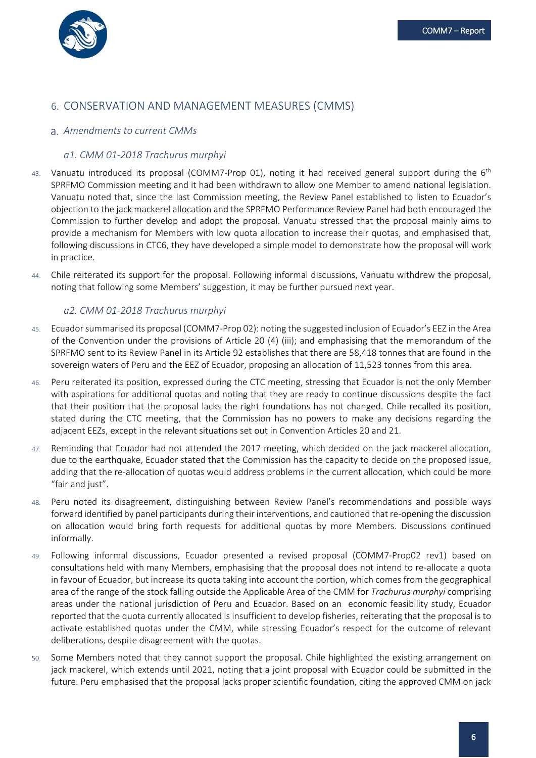

# <span id="page-8-0"></span>6. CONSERVATION AND MANAGEMENT MEASURES (CMMS)

# <span id="page-8-1"></span>*Amendments to current CMMs*

# *a1. CMM 01-2018 Trachurus murphyi*

- 43. Vanuatu introduced its proposal (COMM7-Prop 01), noting it had received general support during the 6<sup>th</sup> SPRFMO Commission meeting and it had been withdrawn to allow one Member to amend national legislation. Vanuatu noted that, since the last Commission meeting, the Review Panel established to listen to Ecuador's objection to the jack mackerel allocation and the SPRFMO Performance Review Panel had both encouraged the Commission to further develop and adopt the proposal. Vanuatu stressed that the proposal mainly aims to provide a mechanism for Members with low quota allocation to increase their quotas, and emphasised that, following discussions in CTC6, they have developed a simple model to demonstrate how the proposal will work in practice.
- 44. Chile reiterated its support for the proposal. Following informal discussions, Vanuatu withdrew the proposal, noting that following some Members' suggestion, it may be further pursued next year.

# *a2. CMM 01-2018 Trachurus murphyi*

- 45. Ecuador summarised its proposal (COMM7-Prop 02): noting the suggested inclusion of Ecuador's EEZ in the Area of the Convention under the provisions of Article 20 (4) (iii); and emphasising that the memorandum of the SPRFMO sent to its Review Panel in its Article 92 establishes that there are 58,418 tonnes that are found in the sovereign waters of Peru and the EEZ of Ecuador, proposing an allocation of 11,523 tonnes from this area.
- 46. Peru reiterated its position, expressed during the CTC meeting, stressing that Ecuador is not the only Member with aspirations for additional quotas and noting that they are ready to continue discussions despite the fact that their position that the proposal lacks the right foundations has not changed. Chile recalled its position, stated during the CTC meeting, that the Commission has no powers to make any decisions regarding the adjacent EEZs, except in the relevant situations set out in Convention Articles 20 and 21.
- 47. Reminding that Ecuador had not attended the 2017 meeting, which decided on the jack mackerel allocation, due to the earthquake, Ecuador stated that the Commission has the capacity to decide on the proposed issue, adding that the re-allocation of quotas would address problems in the current allocation, which could be more "fair and just".
- 48. Peru noted its disagreement, distinguishing between Review Panel's recommendations and possible ways forward identified by panel participants during their interventions, and cautioned that re-opening the discussion on allocation would bring forth requests for additional quotas by more Members. Discussions continued informally.
- 49. Following informal discussions, Ecuador presented a revised proposal (COMM7-Prop02 rev1) based on consultations held with many Members, emphasising that the proposal does not intend to re-allocate a quota in favour of Ecuador, but increase its quota taking into account the portion, which comes from the geographical area of the range of the stock falling outside the Applicable Area of the CMM for *Trachurus murphyi* comprising areas under the national jurisdiction of Peru and Ecuador. Based on an economic feasibility study, Ecuador reported that the quota currently allocated is insufficient to develop fisheries, reiterating that the proposal is to activate established quotas under the CMM, while stressing Ecuador's respect for the outcome of relevant deliberations, despite disagreement with the quotas.
- 50. Some Members noted that they cannot support the proposal. Chile highlighted the existing arrangement on jack mackerel, which extends until 2021, noting that a joint proposal with Ecuador could be submitted in the future. Peru emphasised that the proposal lacks proper scientific foundation, citing the approved CMM on jack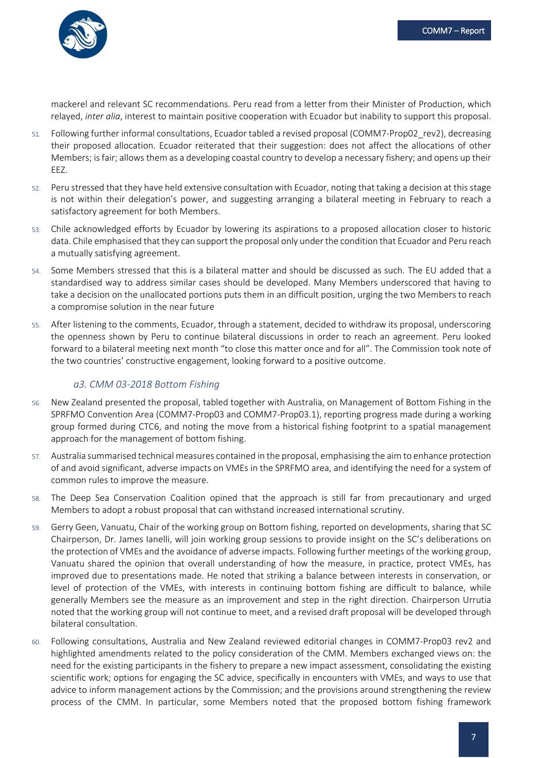

mackerel and relevant SC recommendations. Peru read from a letter from their Minister of Production, which relayed, *inter alia*, interest to maintain positive cooperation with Ecuador but inability to support this proposal.

- 51. Following further informal consultations, Ecuador tabled a revised proposal (COMM7-Prop02\_rev2), decreasing their proposed allocation. Ecuador reiterated that their suggestion: does not affect the allocations of other Members; is fair; allows them as a developing coastal country to develop a necessary fishery; and opens up their EEZ.
- 52. Peru stressed that they have held extensive consultation with Ecuador, noting that taking a decision at this stage is not within their delegation's power, and suggesting arranging a bilateral meeting in February to reach a satisfactory agreement for both Members.
- 53. Chile acknowledged efforts by Ecuador by lowering its aspirations to a proposed allocation closer to historic data. Chile emphasised that they can support the proposal only under the condition that Ecuador and Peru reach a mutually satisfying agreement.
- 54. Some Members stressed that this is a bilateral matter and should be discussed as such. The EU added that a standardised way to address similar cases should be developed. Many Members underscored that having to take a decision on the unallocated portions puts them in an difficult position, urging the two Members to reach a compromise solution in the near future
- 55. After listening to the comments, Ecuador, through a statement, decided to withdraw its proposal, underscoring the openness shown by Peru to continue bilateral discussions in order to reach an agreement. Peru looked forward to a bilateral meeting next month "to close this matter once and for all". The Commission took note of the two countries' constructive engagement, looking forward to a positive outcome.

# *a3. CMM 03-2018 Bottom Fishing*

- 56. New Zealand presented the proposal, tabled together with Australia, on Management of Bottom Fishing in the SPRFMO Convention Area (COMM7-Prop03 and COMM7-Prop03.1), reporting progress made during a working group formed during CTC6, and noting the move from a historical fishing footprint to a spatial management approach for the management of bottom fishing.
- 57. Australia summarised technical measures contained in the proposal, emphasising the aim to enhance protection of and avoid significant, adverse impacts on VMEs in the SPRFMO area, and identifying the need for a system of common rules to improve the measure.
- 58. The Deep Sea Conservation Coalition opined that the approach is still far from precautionary and urged Members to adopt a robust proposal that can withstand increased international scrutiny.
- 59. Gerry Geen, Vanuatu, Chair of the working group on Bottom fishing, reported on developments, sharing that SC Chairperson, Dr. James Ianelli, will join working group sessions to provide insight on the SC's deliberations on the protection of VMEs and the avoidance of adverse impacts. Following further meetings of the working group, Vanuatu shared the opinion that overall understanding of how the measure, in practice, protect VMEs, has improved due to presentations made. He noted that striking a balance between interests in conservation, or level of protection of the VMEs, with interests in continuing bottom fishing are difficult to balance, while generally Members see the measure as an improvement and step in the right direction. Chairperson Urrutia noted that the working group will not continue to meet, and a revised draft proposal will be developed through bilateral consultation.
- 60. Following consultations, Australia and New Zealand reviewed editorial changes in COMM7-Prop03 rev2 and highlighted amendments related to the policy consideration of the CMM. Members exchanged views on: the need for the existing participants in the fishery to prepare a new impact assessment, consolidating the existing scientific work; options for engaging the SC advice, specifically in encounters with VMEs, and ways to use that advice to inform management actions by the Commission; and the provisions around strengthening the review process of the CMM. In particular, some Members noted that the proposed bottom fishing framework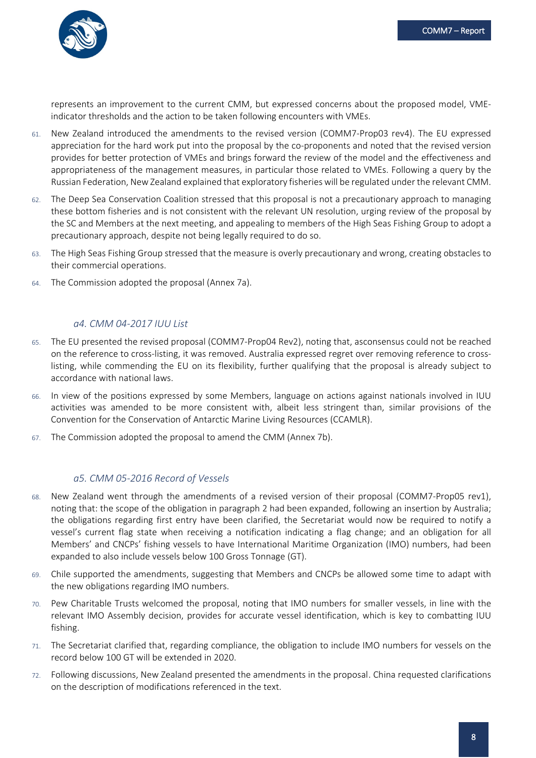

represents an improvement to the current CMM, but expressed concerns about the proposed model, VMEindicator thresholds and the action to be taken following encounters with VMEs.

- 61. New Zealand introduced the amendments to the revised version (COMM7-Prop03 rev4). The EU expressed appreciation for the hard work put into the proposal by the co-proponents and noted that the revised version provides for better protection of VMEs and brings forward the review of the model and the effectiveness and appropriateness of the management measures, in particular those related to VMEs. Following a query by the Russian Federation, New Zealand explained that exploratory fisheries will be regulated under the relevant CMM.
- 62. The Deep Sea Conservation Coalition stressed that this proposal is not a precautionary approach to managing these bottom fisheries and is not consistent with the relevant UN resolution, urging review of the proposal by the SC and Members at the next meeting, and appealing to members of the High Seas Fishing Group to adopt a precautionary approach, despite not being legally required to do so.
- 63. The High Seas Fishing Group stressed that the measure is overly precautionary and wrong, creating obstacles to their commercial operations.
- 64. The Commission adopted the proposal (Annex 7a).

# *a4. CMM 04-2017 IUU List*

- 65. The EU presented the revised proposal (COMM7-Prop04 Rev2), noting that, asconsensus could not be reached on the reference to cross-listing, it was removed. Australia expressed regret over removing reference to crosslisting, while commending the EU on its flexibility, further qualifying that the proposal is already subject to accordance with national laws.
- 66. In view of the positions expressed by some Members, language on actions against nationals involved in IUU activities was amended to be more consistent with, albeit less stringent than, similar provisions of the Convention for the Conservation of Antarctic Marine Living Resources (CCAMLR).
- 67. The Commission adopted the proposal to amend the CMM (Annex 7b).

# *a5. CMM 05-2016 Record of Vessels*

- 68. New Zealand went through the amendments of a revised version of their proposal (COMM7-Prop05 rev1), noting that: the scope of the obligation in paragraph 2 had been expanded, following an insertion by Australia; the obligations regarding first entry have been clarified, the Secretariat would now be required to notify a vessel's current flag state when receiving a notification indicating a flag change; and an obligation for all Members' and CNCPs' fishing vessels to have International Maritime Organization (IMO) numbers, had been expanded to also include vessels below 100 Gross Tonnage (GT).
- 69. Chile supported the amendments, suggesting that Members and CNCPs be allowed some time to adapt with the new obligations regarding IMO numbers.
- 70. Pew Charitable Trusts welcomed the proposal, noting that IMO numbers for smaller vessels, in line with the relevant IMO Assembly decision, provides for accurate vessel identification, which is key to combatting IUU fishing.
- 71. The Secretariat clarified that, regarding compliance, the obligation to include IMO numbers for vessels on the record below 100 GT will be extended in 2020.
- 72. Following discussions, New Zealand presented the amendments in the proposal. China requested clarifications on the description of modifications referenced in the text.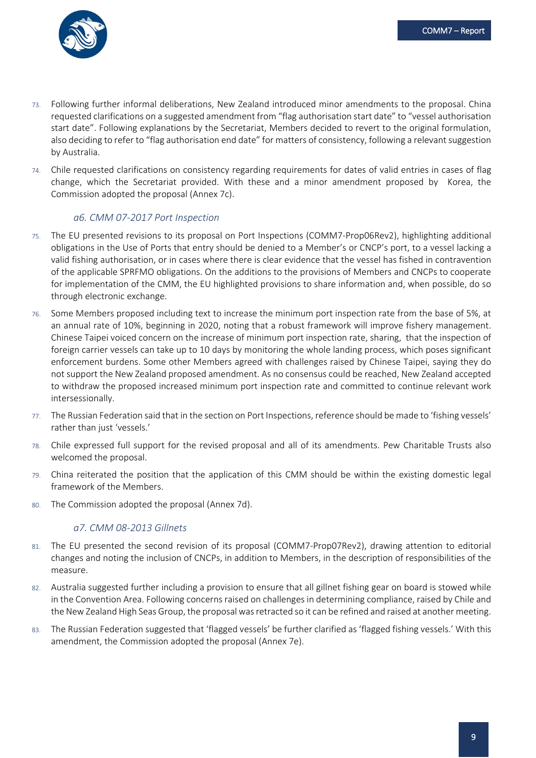

- 73. Following further informal deliberations, New Zealand introduced minor amendments to the proposal. China requested clarifications on a suggested amendment from "flag authorisation start date" to "vessel authorisation start date". Following explanations by the Secretariat, Members decided to revert to the original formulation, also deciding to refer to "flag authorisation end date" for matters of consistency, following a relevant suggestion by Australia.
- 74. Chile requested clarifications on consistency regarding requirements for dates of valid entries in cases of flag change, which the Secretariat provided. With these and a minor amendment proposed by Korea, the Commission adopted the proposal (Annex 7c).

# *a6. CMM 07-2017 Port Inspection*

- 75. The EU presented revisions to its proposal on Port Inspections (COMM7-Prop06Rev2), highlighting additional obligations in the Use of Ports that entry should be denied to a Member's or CNCP's port, to a vessel lacking a valid fishing authorisation, or in cases where there is clear evidence that the vessel has fished in contravention of the applicable SPRFMO obligations. On the additions to the provisions of Members and CNCPs to cooperate for implementation of the CMM, the EU highlighted provisions to share information and, when possible, do so through electronic exchange.
- 76. Some Members proposed including text to increase the minimum port inspection rate from the base of 5%, at an annual rate of 10%, beginning in 2020, noting that a robust framework will improve fishery management. Chinese Taipei voiced concern on the increase of minimum port inspection rate, sharing, that the inspection of foreign carrier vessels can take up to 10 days by monitoring the whole landing process, which poses significant enforcement burdens. Some other Members agreed with challenges raised by Chinese Taipei, saying they do not support the New Zealand proposed amendment. As no consensus could be reached, New Zealand accepted to withdraw the proposed increased minimum port inspection rate and committed to continue relevant work intersessionally.
- 77. The Russian Federation said that in the section on Port Inspections, reference should be made to 'fishing vessels' rather than just 'vessels.'
- 78. Chile expressed full support for the revised proposal and all of its amendments. Pew Charitable Trusts also welcomed the proposal.
- 79. China reiterated the position that the application of this CMM should be within the existing domestic legal framework of the Members.
- 80. The Commission adopted the proposal (Annex 7d).

## *a7. CMM 08-2013 Gillnets*

- 81. The EU presented the second revision of its proposal (COMM7-Prop07Rev2), drawing attention to editorial changes and noting the inclusion of CNCPs, in addition to Members, in the description of responsibilities of the measure.
- 82. Australia suggested further including a provision to ensure that all gillnet fishing gear on board is stowed while in the Convention Area. Following concerns raised on challenges in determining compliance, raised by Chile and the New Zealand High Seas Group, the proposal was retracted so it can be refined and raised at another meeting.
- 83. The Russian Federation suggested that 'flagged vessels' be further clarified as 'flagged fishing vessels.' With this amendment, the Commission adopted the proposal (Annex 7e).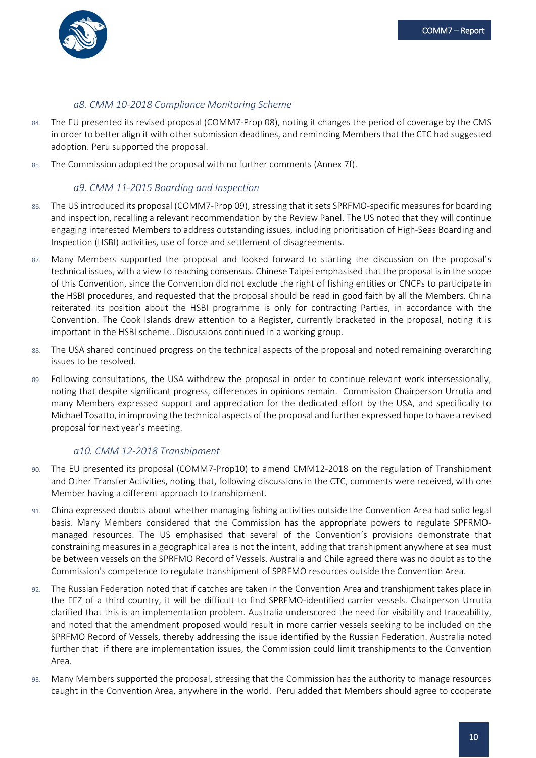# *a8. CMM 10-2018 Compliance Monitoring Scheme*

- 84. The EU presented its revised proposal (COMM7-Prop 08), noting it changes the period of coverage by the CMS in order to better align it with other submission deadlines, and reminding Members that the CTC had suggested adoption. Peru supported the proposal.
- 85. The Commission adopted the proposal with no further comments (Annex 7f).

# *a9. CMM 11-2015 Boarding and Inspection*

- 86. The US introduced its proposal (COMM7-Prop 09), stressing that it sets SPRFMO-specific measures for boarding and inspection, recalling a relevant recommendation by the Review Panel. The US noted that they will continue engaging interested Members to address outstanding issues, including prioritisation of High-Seas Boarding and Inspection (HSBI) activities, use of force and settlement of disagreements.
- 87. Many Members supported the proposal and looked forward to starting the discussion on the proposal's technical issues, with a view to reaching consensus. Chinese Taipei emphasised that the proposal is in the scope of this Convention, since the Convention did not exclude the right of fishing entities or CNCPs to participate in the HSBI procedures, and requested that the proposal should be read in good faith by all the Members. China reiterated its position about the HSBI programme is only for contracting Parties, in accordance with the Convention. The Cook Islands drew attention to a Register, currently bracketed in the proposal, noting it is important in the HSBI scheme.. Discussions continued in a working group.
- 88. The USA shared continued progress on the technical aspects of the proposal and noted remaining overarching issues to be resolved.
- 89. Following consultations, the USA withdrew the proposal in order to continue relevant work intersessionally, noting that despite significant progress, differences in opinions remain. Commission Chairperson Urrutia and many Members expressed support and appreciation for the dedicated effort by the USA, and specifically to Michael Tosatto, in improving the technical aspects of the proposal and further expressed hope to have a revised proposal for next year's meeting.

# *a10. CMM 12-2018 Transhipment*

- 90. The EU presented its proposal (COMM7-Prop10) to amend CMM12-2018 on the regulation of Transhipment and Other Transfer Activities, noting that, following discussions in the CTC, comments were received, with one Member having a different approach to transhipment.
- 91. China expressed doubts about whether managing fishing activities outside the Convention Area had solid legal basis. Many Members considered that the Commission has the appropriate powers to regulate SPFRMOmanaged resources. The US emphasised that several of the Convention's provisions demonstrate that constraining measures in a geographical area is not the intent, adding that transhipment anywhere at sea must be between vessels on the SPRFMO Record of Vessels. Australia and Chile agreed there was no doubt as to the Commission's competence to regulate transhipment of SPRFMO resources outside the Convention Area.
- 92. The Russian Federation noted that if catches are taken in the Convention Area and transhipment takes place in the EEZ of a third country, it will be difficult to find SPRFMO-identified carrier vessels. Chairperson Urrutia clarified that this is an implementation problem. Australia underscored the need for visibility and traceability, and noted that the amendment proposed would result in more carrier vessels seeking to be included on the SPRFMO Record of Vessels, thereby addressing the issue identified by the Russian Federation. Australia noted further that if there are implementation issues, the Commission could limit transhipments to the Convention Area.
- 93. Many Members supported the proposal, stressing that the Commission has the authority to manage resources caught in the Convention Area, anywhere in the world. Peru added that Members should agree to cooperate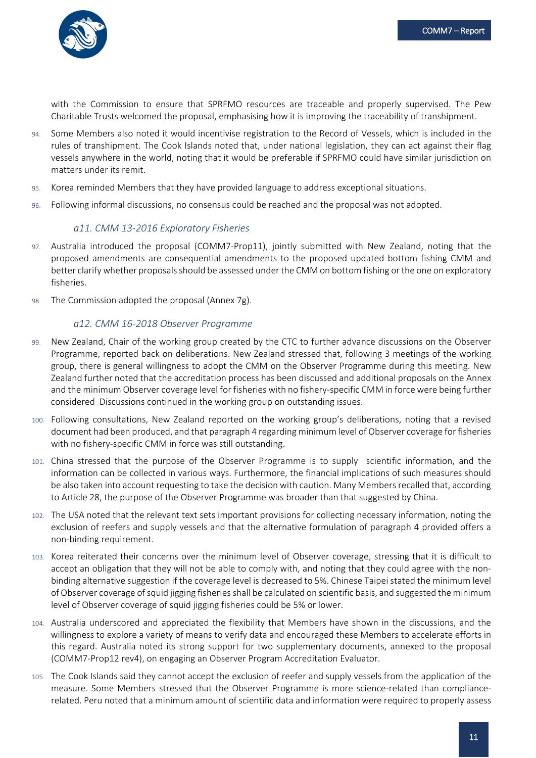

with the Commission to ensure that SPRFMO resources are traceable and properly supervised. The Pew Charitable Trusts welcomed the proposal, emphasising how it is improving the traceability of transhipment.

- 94. Some Members also noted it would incentivise registration to the Record of Vessels, which is included in the rules of transhipment. The Cook Islands noted that, under national legislation, they can act against their flag vessels anywhere in the world, noting that it would be preferable if SPRFMO could have similar jurisdiction on matters under its remit.
- 95. Korea reminded Members that they have provided language to address exceptional situations.
- 96. Following informal discussions, no consensus could be reached and the proposal was not adopted.

## *a11. CMM 13-2016 Exploratory Fisheries*

- 97. Australia introduced the proposal (COMM7-Prop11), jointly submitted with New Zealand, noting that the proposed amendments are consequential amendments to the proposed updated bottom fishing CMM and better clarify whether proposals should be assessed under the CMM on bottom fishing or the one on exploratory fisheries.
- 98. The Commission adopted the proposal (Annex 7g).

#### *a12. CMM 16-2018 Observer Programme*

- 99. New Zealand, Chair of the working group created by the CTC to further advance discussions on the Observer Programme, reported back on deliberations. New Zealand stressed that, following 3 meetings of the working group, there is general willingness to adopt the CMM on the Observer Programme during this meeting. New Zealand further noted that the accreditation process has been discussed and additional proposals on the Annex and the minimum Observer coverage level for fisheries with no fishery-specific CMM in force were being further considered Discussions continued in the working group on outstanding issues.
- 100. Following consultations, New Zealand reported on the working group's deliberations, noting that a revised document had been produced, and that paragraph 4 regarding minimum level of Observer coverage for fisheries with no fishery-specific CMM in force was still outstanding.
- 101. China stressed that the purpose of the Observer Programme is to supply scientific information, and the information can be collected in various ways. Furthermore, the financial implications of such measures should be also taken into account requesting to take the decision with caution. Many Members recalled that, according to Article 28, the purpose of the Observer Programme was broader than that suggested by China.
- 102. The USA noted that the relevant text sets important provisions for collecting necessary information, noting the exclusion of reefers and supply vessels and that the alternative formulation of paragraph 4 provided offers a non-binding requirement.
- 103. Korea reiterated their concerns over the minimum level of Observer coverage, stressing that it is difficult to accept an obligation that they will not be able to comply with, and noting that they could agree with the nonbinding alternative suggestion if the coverage level is decreased to 5%. Chinese Taipei stated the minimum level of Observer coverage of squid jigging fisheries shall be calculated on scientific basis, and suggested the minimum level of Observer coverage of squid jigging fisheries could be 5% or lower.
- 104. Australia underscored and appreciated the flexibility that Members have shown in the discussions, and the willingness to explore a variety of means to verify data and encouraged these Members to accelerate efforts in this regard. Australia noted its strong support for two supplementary documents, annexed to the proposal (COMM7-Prop12 rev4), on engaging an Observer Program Accreditation Evaluator.
- 105. The Cook Islands said they cannot accept the exclusion of reefer and supply vessels from the application of the measure. Some Members stressed that the Observer Programme is more science-related than compliancerelated. Peru noted that a minimum amount of scientific data and information were required to properly assess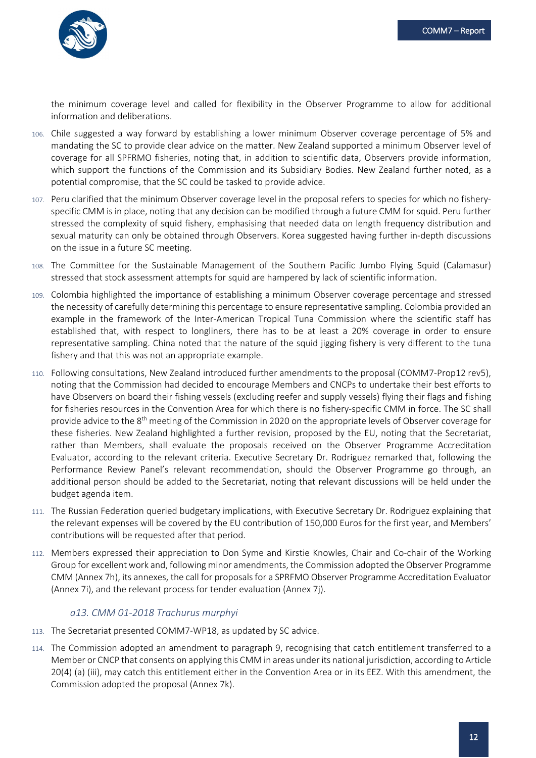

the minimum coverage level and called for flexibility in the Observer Programme to allow for additional information and deliberations.

- 106. Chile suggested a way forward by establishing a lower minimum Observer coverage percentage of 5% and mandating the SC to provide clear advice on the matter. New Zealand supported a minimum Observer level of coverage for all SPFRMO fisheries, noting that, in addition to scientific data, Observers provide information, which support the functions of the Commission and its Subsidiary Bodies. New Zealand further noted, as a potential compromise, that the SC could be tasked to provide advice.
- 107. Peru clarified that the minimum Observer coverage level in the proposal refers to species for which no fisheryspecific CMM is in place, noting that any decision can be modified through a future CMM for squid. Peru further stressed the complexity of squid fishery, emphasising that needed data on length frequency distribution and sexual maturity can only be obtained through Observers. Korea suggested having further in-depth discussions on the issue in a future SC meeting.
- 108. The Committee for the Sustainable Management of the Southern Pacific Jumbo Flying Squid (Calamasur) stressed that stock assessment attempts for squid are hampered by lack of scientific information.
- 109. Colombia highlighted the importance of establishing a minimum Observer coverage percentage and stressed the necessity of carefully determining this percentage to ensure representative sampling. Colombia provided an example in the framework of the Inter-American Tropical Tuna Commission where the scientific staff has established that, with respect to longliners, there has to be at least a 20% coverage in order to ensure representative sampling. China noted that the nature of the squid jigging fishery is very different to the tuna fishery and that this was not an appropriate example.
- 110. Following consultations, New Zealand introduced further amendments to the proposal (COMM7-Prop12 rev5), noting that the Commission had decided to encourage Members and CNCPs to undertake their best efforts to have Observers on board their fishing vessels (excluding reefer and supply vessels) flying their flags and fishing for fisheries resources in the Convention Area for which there is no fishery-specific CMM in force. The SC shall provide advice to the 8<sup>th</sup> meeting of the Commission in 2020 on the appropriate levels of Observer coverage for these fisheries. New Zealand highlighted a further revision, proposed by the EU, noting that the Secretariat, rather than Members, shall evaluate the proposals received on the Observer Programme Accreditation Evaluator, according to the relevant criteria. Executive Secretary Dr. Rodriguez remarked that, following the Performance Review Panel's relevant recommendation, should the Observer Programme go through, an additional person should be added to the Secretariat, noting that relevant discussions will be held under the budget agenda item.
- 111. The Russian Federation queried budgetary implications, with Executive Secretary Dr. Rodriguez explaining that the relevant expenses will be covered by the EU contribution of 150,000 Euros for the first year, and Members' contributions will be requested after that period.
- 112. Members expressed their appreciation to Don Syme and Kirstie Knowles, Chair and Co-chair of the Working Group for excellent work and, following minor amendments, the Commission adopted the Observer Programme CMM (Annex 7h), its annexes, the call for proposals for a SPRFMO Observer Programme Accreditation Evaluator (Annex 7i), and the relevant process for tender evaluation (Annex 7j).

# *a13. CMM 01-2018 Trachurus murphyi*

- 113. The Secretariat presented COMM7-WP18, as updated by SC advice.
- 114. The Commission adopted an amendment to paragraph 9, recognising that catch entitlement transferred to a Member or CNCP that consents on applying this CMM in areas under its national jurisdiction, according to Article 20(4) (a) (iii), may catch this entitlement either in the Convention Area or in its EEZ. With this amendment, the Commission adopted the proposal (Annex 7k).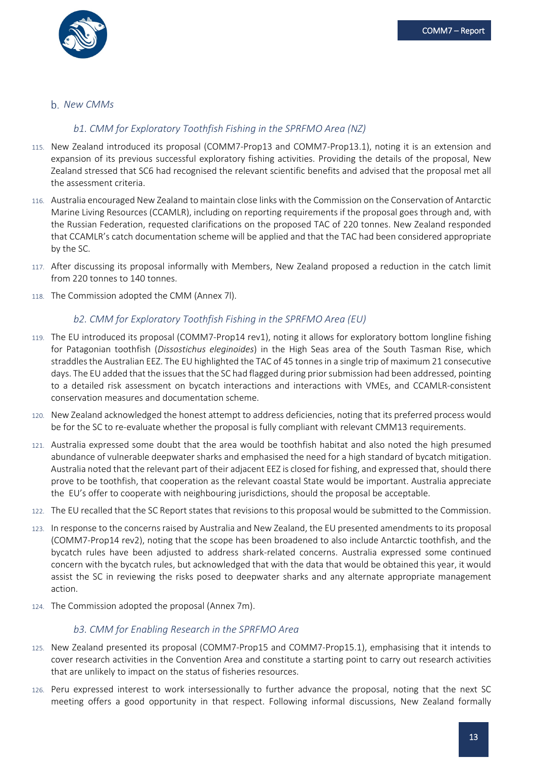

# <span id="page-15-0"></span>*New CMMs*

# *b1. CMM for Exploratory Toothfish Fishing in the SPRFMO Area (NZ)*

- 115. New Zealand introduced its proposal (COMM7-Prop13 and COMM7-Prop13.1), noting it is an extension and expansion of its previous successful exploratory fishing activities. Providing the details of the proposal, New Zealand stressed that SC6 had recognised the relevant scientific benefits and advised that the proposal met all the assessment criteria.
- 116. Australia encouraged New Zealand to maintain close links with the Commission on the Conservation of Antarctic Marine Living Resources (CCAMLR), including on reporting requirements if the proposal goes through and, with the Russian Federation, requested clarifications on the proposed TAC of 220 tonnes. New Zealand responded that CCAMLR's catch documentation scheme will be applied and that the TAC had been considered appropriate by the SC.
- 117. After discussing its proposal informally with Members, New Zealand proposed a reduction in the catch limit from 220 tonnes to 140 tonnes.
- 118. The Commission adopted the CMM (Annex 7l).

# *b2. CMM for Exploratory Toothfish Fishing in the SPRFMO Area (EU)*

- 119. The EU introduced its proposal (COMM7-Prop14 rev1), noting it allows for exploratory bottom longline fishing for Patagonian toothfish (*Dissostichus eleginoides*) in the High Seas area of the South Tasman Rise, which straddlesthe Australian EEZ. The EU highlighted the TAC of 45 tonnes in a single trip of maximum 21 consecutive days. The EU added that the issues that the SC had flagged during prior submission had been addressed, pointing to a detailed risk assessment on bycatch interactions and interactions with VMEs, and CCAMLR-consistent conservation measures and documentation scheme.
- 120. New Zealand acknowledged the honest attempt to address deficiencies, noting that its preferred process would be for the SC to re-evaluate whether the proposal is fully compliant with relevant CMM13 requirements.
- 121. Australia expressed some doubt that the area would be toothfish habitat and also noted the high presumed abundance of vulnerable deepwater sharks and emphasised the need for a high standard of bycatch mitigation. Australia noted that the relevant part of their adjacent EEZ is closed for fishing, and expressed that, should there prove to be toothfish, that cooperation as the relevant coastal State would be important. Australia appreciate the EU's offer to cooperate with neighbouring jurisdictions, should the proposal be acceptable.
- 122. The EU recalled that the SC Report states that revisions to this proposal would be submitted to the Commission.
- 123. In response to the concerns raised by Australia and New Zealand, the EU presented amendments to its proposal (COMM7-Prop14 rev2), noting that the scope has been broadened to also include Antarctic toothfish, and the bycatch rules have been adjusted to address shark-related concerns. Australia expressed some continued concern with the bycatch rules, but acknowledged that with the data that would be obtained this year, it would assist the SC in reviewing the risks posed to deepwater sharks and any alternate appropriate management action.
- 124. The Commission adopted the proposal (Annex 7m).

## *b3. CMM for Enabling Research in the SPRFMO Area*

- 125. New Zealand presented its proposal (COMM7-Prop15 and COMM7-Prop15.1), emphasising that it intends to cover research activities in the Convention Area and constitute a starting point to carry out research activities that are unlikely to impact on the status of fisheries resources.
- 126. Peru expressed interest to work intersessionally to further advance the proposal, noting that the next SC meeting offers a good opportunity in that respect. Following informal discussions, New Zealand formally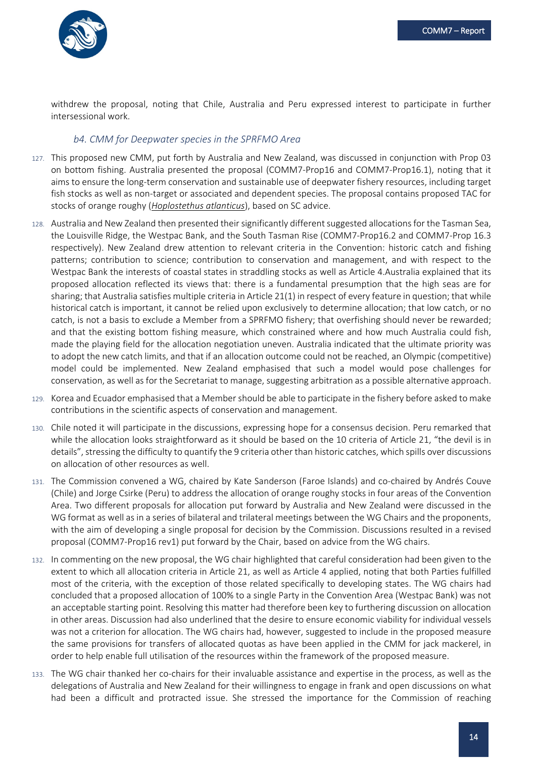

withdrew the proposal, noting that Chile, Australia and Peru expressed interest to participate in further intersessional work.

#### *b4. CMM for Deepwater species in the SPRFMO Area*

- 127. This proposed new CMM, put forth by Australia and New Zealand, was discussed in conjunction with Prop 03 on bottom fishing. Australia presented the proposal (COMM7-Prop16 and COMM7-Prop16.1), noting that it aims to ensure the long-term conservation and sustainable use of deepwater fishery resources, including target fish stocks as well as non-target or associated and dependent species. The proposal contains proposed TAC for stocks of orange roughy (*Hoplostethus atlanticus*), based on SC advice.
- 128. Australia and New Zealand then presented their significantly different suggested allocations for the Tasman Sea, the Louisville Ridge, the Westpac Bank, and the South Tasman Rise (COMM7-Prop16.2 and COMM7-Prop 16.3 respectively). New Zealand drew attention to relevant criteria in the Convention: historic catch and fishing patterns; contribution to science; contribution to conservation and management, and with respect to the Westpac Bank the interests of coastal states in straddling stocks as well as Article 4.Australia explained that its proposed allocation reflected its views that: there is a fundamental presumption that the high seas are for sharing; that Australia satisfies multiple criteria in Article 21(1) in respect of every feature in question; that while historical catch is important, it cannot be relied upon exclusively to determine allocation; that low catch, or no catch, is not a basis to exclude a Member from a SPRFMO fishery; that overfishing should never be rewarded; and that the existing bottom fishing measure, which constrained where and how much Australia could fish, made the playing field for the allocation negotiation uneven. Australia indicated that the ultimate priority was to adopt the new catch limits, and that if an allocation outcome could not be reached, an Olympic (competitive) model could be implemented. New Zealand emphasised that such a model would pose challenges for conservation, as well as for the Secretariat to manage, suggesting arbitration as a possible alternative approach.
- 129. Korea and Ecuador emphasised that a Member should be able to participate in the fishery before asked to make contributions in the scientific aspects of conservation and management.
- 130. Chile noted it will participate in the discussions, expressing hope for a consensus decision. Peru remarked that while the allocation looks straightforward as it should be based on the 10 criteria of Article 21, "the devil is in details", stressing the difficulty to quantify the 9 criteria other than historic catches, which spills over discussions on allocation of other resources as well.
- 131. The Commission convened a WG, chaired by Kate Sanderson (Faroe Islands) and co-chaired by Andrés Couve (Chile) and Jorge Csirke (Peru) to address the allocation of orange roughy stocks in four areas of the Convention Area. Two different proposals for allocation put forward by Australia and New Zealand were discussed in the WG format as well as in a series of bilateral and trilateral meetings between the WG Chairs and the proponents, with the aim of developing a single proposal for decision by the Commission. Discussions resulted in a revised proposal (COMM7-Prop16 rev1) put forward by the Chair, based on advice from the WG chairs.
- 132. In commenting on the new proposal, the WG chair highlighted that careful consideration had been given to the extent to which all allocation criteria in Article 21, as well as Article 4 applied, noting that both Parties fulfilled most of the criteria, with the exception of those related specifically to developing states. The WG chairs had concluded that a proposed allocation of 100% to a single Party in the Convention Area (Westpac Bank) was not an acceptable starting point. Resolving this matter had therefore been key to furthering discussion on allocation in other areas. Discussion had also underlined that the desire to ensure economic viability for individual vessels was not a criterion for allocation. The WG chairs had, however, suggested to include in the proposed measure the same provisions for transfers of allocated quotas as have been applied in the CMM for jack mackerel, in order to help enable full utilisation of the resources within the framework of the proposed measure.
- 133. The WG chair thanked her co-chairs for their invaluable assistance and expertise in the process, as well as the delegations of Australia and New Zealand for their willingness to engage in frank and open discussions on what had been a difficult and protracted issue. She stressed the importance for the Commission of reaching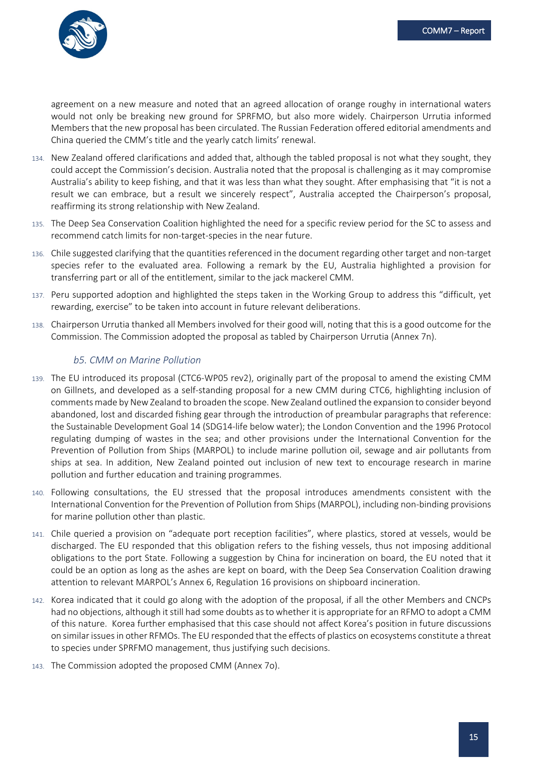

agreement on a new measure and noted that an agreed allocation of orange roughy in international waters would not only be breaking new ground for SPRFMO, but also more widely. Chairperson Urrutia informed Members that the new proposal has been circulated. The Russian Federation offered editorial amendments and China queried the CMM's title and the yearly catch limits' renewal.

- 134. New Zealand offered clarifications and added that, although the tabled proposal is not what they sought, they could accept the Commission's decision. Australia noted that the proposal is challenging as it may compromise Australia's ability to keep fishing, and that it was less than what they sought. After emphasising that "it is not a result we can embrace, but a result we sincerely respect", Australia accepted the Chairperson's proposal, reaffirming its strong relationship with New Zealand.
- 135. The Deep Sea Conservation Coalition highlighted the need for a specific review period for the SC to assess and recommend catch limits for non-target-species in the near future.
- 136. Chile suggested clarifying that the quantities referenced in the document regarding other target and non-target species refer to the evaluated area. Following a remark by the EU, Australia highlighted a provision for transferring part or all of the entitlement, similar to the jack mackerel CMM.
- 137. Peru supported adoption and highlighted the steps taken in the Working Group to address this "difficult, yet rewarding, exercise" to be taken into account in future relevant deliberations.
- 138. Chairperson Urrutia thanked all Members involved for their good will, noting that this is a good outcome for the Commission. The Commission adopted the proposal as tabled by Chairperson Urrutia (Annex 7n).

# *b5. CMM on Marine Pollution*

- 139. The EU introduced its proposal (CTC6-WP05 rev2), originally part of the proposal to amend the existing CMM on Gillnets, and developed as a self-standing proposal for a new CMM during CTC6, highlighting inclusion of comments made by New Zealand to broaden the scope. New Zealand outlined the expansion to consider beyond abandoned, lost and discarded fishing gear through the introduction of preambular paragraphs that reference: the Sustainable Development Goal 14 (SDG14-life below water); the London Convention and the 1996 Protocol regulating dumping of wastes in the sea; and other provisions under the International Convention for the Prevention of Pollution from Ships (MARPOL) to include marine pollution oil, sewage and air pollutants from ships at sea. In addition, New Zealand pointed out inclusion of new text to encourage research in marine pollution and further education and training programmes.
- 140. Following consultations, the EU stressed that the proposal introduces amendments consistent with the International Convention for the Prevention of Pollution from Ships (MARPOL), including non-binding provisions for marine pollution other than plastic.
- 141. Chile queried a provision on "adequate port reception facilities", where plastics, stored at vessels, would be discharged. The EU responded that this obligation refers to the fishing vessels, thus not imposing additional obligations to the port State. Following a suggestion by China for incineration on board, the EU noted that it could be an option as long as the ashes are kept on board, with the Deep Sea Conservation Coalition drawing attention to relevant MARPOL's Annex 6, Regulation 16 provisions on shipboard incineration.
- 142. Korea indicated that it could go along with the adoption of the proposal, if all the other Members and CNCPs had no objections, although it still had some doubts as to whether it is appropriate for an RFMO to adopt a CMM of this nature. Korea further emphasised that this case should not affect Korea's position in future discussions on similar issues in other RFMOs. The EU responded that the effects of plastics on ecosystems constitute a threat to species under SPRFMO management, thus justifying such decisions.
- 143. The Commission adopted the proposed CMM (Annex 7o).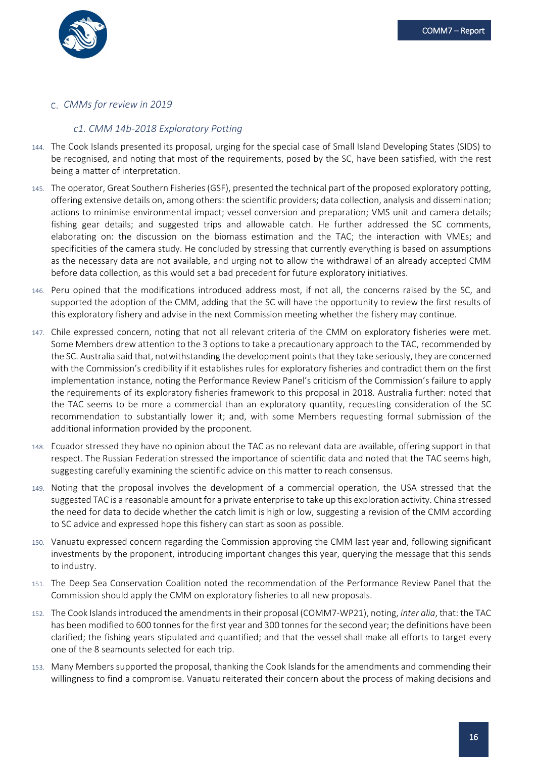

# <span id="page-18-0"></span>*CMMs for review in 2019*

# *c1. CMM 14b-2018 Exploratory Potting*

- 144. The Cook Islands presented its proposal, urging for the special case of Small Island Developing States (SIDS) to be recognised, and noting that most of the requirements, posed by the SC, have been satisfied, with the rest being a matter of interpretation.
- 145. The operator, Great Southern Fisheries (GSF), presented the technical part of the proposed exploratory potting, offering extensive details on, among others: the scientific providers; data collection, analysis and dissemination; actions to minimise environmental impact; vessel conversion and preparation; VMS unit and camera details; fishing gear details; and suggested trips and allowable catch. He further addressed the SC comments, elaborating on: the discussion on the biomass estimation and the TAC; the interaction with VMEs; and specificities of the camera study. He concluded by stressing that currently everything is based on assumptions as the necessary data are not available, and urging not to allow the withdrawal of an already accepted CMM before data collection, as this would set a bad precedent for future exploratory initiatives.
- 146. Peru opined that the modifications introduced address most, if not all, the concerns raised by the SC, and supported the adoption of the CMM, adding that the SC will have the opportunity to review the first results of this exploratory fishery and advise in the next Commission meeting whether the fishery may continue.
- 147. Chile expressed concern, noting that not all relevant criteria of the CMM on exploratory fisheries were met. Some Members drew attention to the 3 options to take a precautionary approach to the TAC, recommended by the SC. Australia said that, notwithstanding the development points that they take seriously, they are concerned with the Commission's credibility if it establishes rules for exploratory fisheries and contradict them on the first implementation instance, noting the Performance Review Panel's criticism of the Commission's failure to apply the requirements of its exploratory fisheries framework to this proposal in 2018. Australia further: noted that the TAC seems to be more a commercial than an exploratory quantity, requesting consideration of the SC recommendation to substantially lower it; and, with some Members requesting formal submission of the additional information provided by the proponent.
- 148. Ecuador stressed they have no opinion about the TAC as no relevant data are available, offering support in that respect. The Russian Federation stressed the importance of scientific data and noted that the TAC seems high, suggesting carefully examining the scientific advice on this matter to reach consensus.
- 149. Noting that the proposal involves the development of a commercial operation, the USA stressed that the suggested TAC is a reasonable amount for a private enterprise to take up this exploration activity. China stressed the need for data to decide whether the catch limit is high or low, suggesting a revision of the CMM according to SC advice and expressed hope this fishery can start as soon as possible.
- 150. Vanuatu expressed concern regarding the Commission approving the CMM last year and, following significant investments by the proponent, introducing important changes this year, querying the message that this sends to industry.
- 151. The Deep Sea Conservation Coalition noted the recommendation of the Performance Review Panel that the Commission should apply the CMM on exploratory fisheries to all new proposals.
- 152. The Cook Islands introduced the amendments in their proposal (COMM7-WP21), noting, *inter alia*, that: the TAC has been modified to 600 tonnes for the first year and 300 tonnes for the second year; the definitions have been clarified; the fishing years stipulated and quantified; and that the vessel shall make all efforts to target every one of the 8 seamounts selected for each trip.
- 153. Many Members supported the proposal, thanking the Cook Islands for the amendments and commending their willingness to find a compromise. Vanuatu reiterated their concern about the process of making decisions and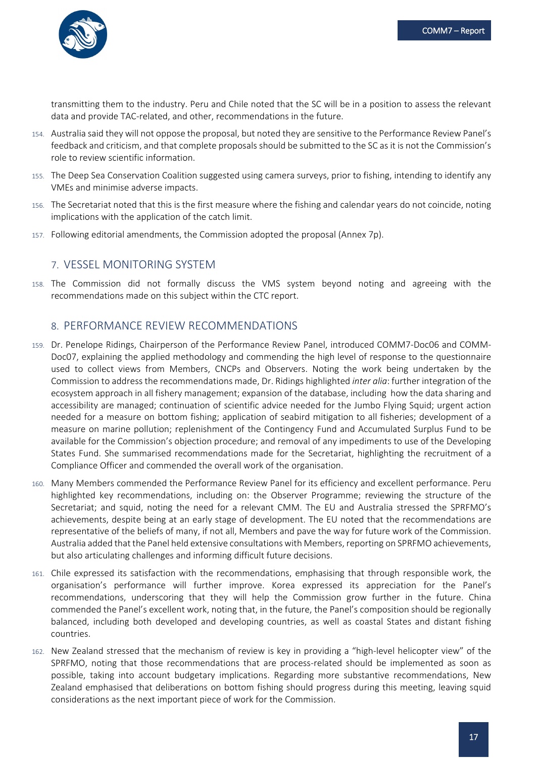

transmitting them to the industry. Peru and Chile noted that the SC will be in a position to assess the relevant data and provide TAC-related, and other, recommendations in the future.

- 154. Australia said they will not oppose the proposal, but noted they are sensitive to the Performance Review Panel's feedback and criticism, and that complete proposals should be submitted to the SC as it is not the Commission's role to review scientific information.
- 155. The Deep Sea Conservation Coalition suggested using camera surveys, prior to fishing, intending to identify any VMEs and minimise adverse impacts.
- 156. The Secretariat noted that this is the first measure where the fishing and calendar years do not coincide, noting implications with the application of the catch limit.
- 157. Following editorial amendments, the Commission adopted the proposal (Annex 7p).

# <span id="page-19-0"></span>7. VESSEL MONITORING SYSTEM

158. The Commission did not formally discuss the VMS system beyond noting and agreeing with the recommendations made on this subject within the CTC report.

# <span id="page-19-1"></span>8. PERFORMANCE REVIEW RECOMMENDATIONS

- 159. Dr. Penelope Ridings, Chairperson of the Performance Review Panel, introduced COMM7-Doc06 and COMM-Doc07, explaining the applied methodology and commending the high level of response to the questionnaire used to collect views from Members, CNCPs and Observers. Noting the work being undertaken by the Commission to address the recommendations made, Dr. Ridings highlighted *inter alia*: further integration of the ecosystem approach in all fishery management; expansion of the database, including how the data sharing and accessibility are managed; continuation of scientific advice needed for the Jumbo Flying Squid; urgent action needed for a measure on bottom fishing; application of seabird mitigation to all fisheries; development of a measure on marine pollution; replenishment of the Contingency Fund and Accumulated Surplus Fund to be available for the Commission's objection procedure; and removal of any impediments to use of the Developing States Fund. She summarised recommendations made for the Secretariat, highlighting the recruitment of a Compliance Officer and commended the overall work of the organisation.
- 160. Many Members commended the Performance Review Panel for its efficiency and excellent performance. Peru highlighted key recommendations, including on: the Observer Programme; reviewing the structure of the Secretariat; and squid, noting the need for a relevant CMM. The EU and Australia stressed the SPRFMO's achievements, despite being at an early stage of development. The EU noted that the recommendations are representative of the beliefs of many, if not all, Members and pave the way for future work of the Commission. Australia added that the Panel held extensive consultations with Members, reporting on SPRFMO achievements, but also articulating challenges and informing difficult future decisions.
- 161. Chile expressed its satisfaction with the recommendations, emphasising that through responsible work, the organisation's performance will further improve. Korea expressed its appreciation for the Panel's recommendations, underscoring that they will help the Commission grow further in the future. China commended the Panel's excellent work, noting that, in the future, the Panel's composition should be regionally balanced, including both developed and developing countries, as well as coastal States and distant fishing countries.
- 162. New Zealand stressed that the mechanism of review is key in providing a "high-level helicopter view" of the SPRFMO, noting that those recommendations that are process-related should be implemented as soon as possible, taking into account budgetary implications. Regarding more substantive recommendations, New Zealand emphasised that deliberations on bottom fishing should progress during this meeting, leaving squid considerations as the next important piece of work for the Commission.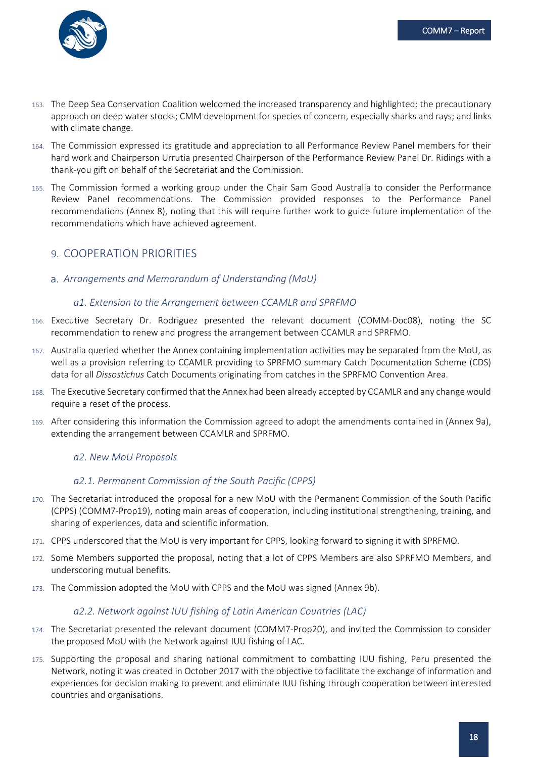

- 163. The Deep Sea Conservation Coalition welcomed the increased transparency and highlighted: the precautionary approach on deep water stocks; CMM development for species of concern, especially sharks and rays; and links with climate change.
- 164. The Commission expressed its gratitude and appreciation to all Performance Review Panel members for their hard work and Chairperson Urrutia presented Chairperson of the Performance Review Panel Dr. Ridings with a thank-you gift on behalf of the Secretariat and the Commission.
- 165. The Commission formed a working group under the Chair Sam Good Australia to consider the Performance Review Panel recommendations. The Commission provided responses to the Performance Panel recommendations (Annex 8), noting that this will require further work to guide future implementation of the recommendations which have achieved agreement.

# <span id="page-20-0"></span>9. COOPERATION PRIORITIES

<span id="page-20-1"></span>*Arrangements and Memorandum of Understanding (MoU)*

# *a1. Extension to the Arrangement between CCAMLR and SPRFMO*

- 166. Executive Secretary Dr. Rodriguez presented the relevant document (COMM-Doc08), noting the SC recommendation to renew and progress the arrangement between CCAMLR and SPRFMO.
- 167. Australia queried whether the Annex containing implementation activities may be separated from the MoU, as well as a provision referring to CCAMLR providing to SPRFMO summary Catch Documentation Scheme (CDS) data for all *Dissostichus* Catch Documents originating from catches in the SPRFMO Convention Area.
- 168. The Executive Secretary confirmed that the Annex had been already accepted by CCAMLR and any change would require a reset of the process.
- 169. After considering this information the Commission agreed to adopt the amendments contained in (Annex 9a), extending the arrangement between CCAMLR and SPRFMO.

# *a2. New MoU Proposals*

## *a2.1. Permanent Commission of the South Pacific (CPPS)*

- 170. The Secretariat introduced the proposal for a new MoU with the Permanent Commission of the South Pacific (CPPS) (COMM7-Prop19), noting main areas of cooperation, including institutional strengthening, training, and sharing of experiences, data and scientific information.
- 171. CPPS underscored that the MoU is very important for CPPS, looking forward to signing it with SPRFMO.
- 172. Some Members supported the proposal, noting that a lot of CPPS Members are also SPRFMO Members, and underscoring mutual benefits.
- 173. The Commission adopted the MoU with CPPS and the MoU was signed (Annex 9b).

# *a2.2. Network against IUU fishing of Latin American Countries (LAC)*

- 174. The Secretariat presented the relevant document (COMM7-Prop20), and invited the Commission to consider the proposed MoU with the Network against IUU fishing of LAC.
- 175. Supporting the proposal and sharing national commitment to combatting IUU fishing, Peru presented the Network, noting it was created in October 2017 with the objective to facilitate the exchange of information and experiences for decision making to prevent and eliminate IUU fishing through cooperation between interested countries and organisations.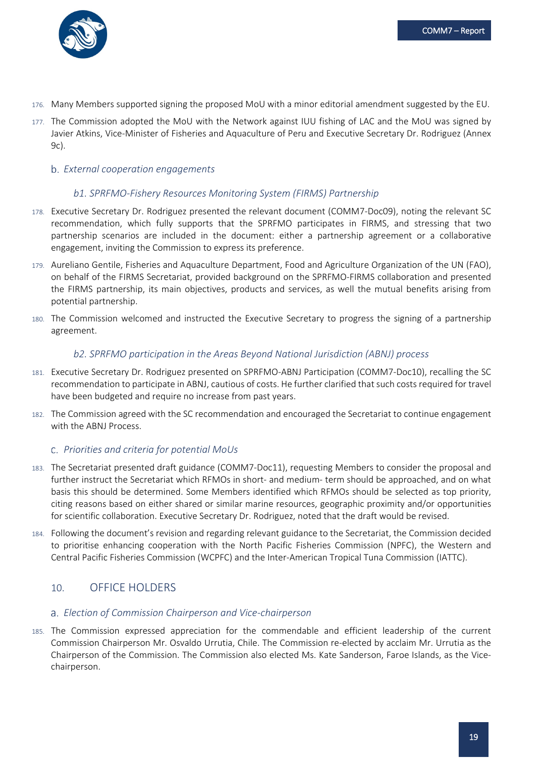

- 176. Many Members supported signing the proposed MoU with a minor editorial amendment suggested by the EU.
- 177. The Commission adopted the MoU with the Network against IUU fishing of LAC and the MoU was signed by Javier Atkins, Vice-Minister of Fisheries and Aquaculture of Peru and Executive Secretary Dr. Rodriguez (Annex 9c).

# <span id="page-21-0"></span>*External cooperation engagements*

# *b1. SPRFMO-Fishery Resources Monitoring System (FIRMS) Partnership*

- 178. Executive Secretary Dr. Rodriguez presented the relevant document (COMM7-Doc09), noting the relevant SC recommendation, which fully supports that the SPRFMO participates in FIRMS, and stressing that two partnership scenarios are included in the document: either a partnership agreement or a collaborative engagement, inviting the Commission to express its preference.
- 179. Aureliano Gentile, Fisheries and Aquaculture Department, Food and Agriculture Organization of the UN (FAO), on behalf of the FIRMS Secretariat, provided background on the SPRFMO-FIRMS collaboration and presented the FIRMS partnership, its main objectives, products and services, as well the mutual benefits arising from potential partnership.
- 180. The Commission welcomed and instructed the Executive Secretary to progress the signing of a partnership agreement.

# *b2. SPRFMO participation in the Areas Beyond National Jurisdiction (ABNJ) process*

- 181. Executive Secretary Dr. Rodriguez presented on SPRFMO-ABNJ Participation (COMM7-Doc10), recalling the SC recommendation to participate in ABNJ, cautious of costs. He further clarified that such costs required for travel have been budgeted and require no increase from past years.
- 182. The Commission agreed with the SC recommendation and encouraged the Secretariat to continue engagement with the ABNJ Process.

## <span id="page-21-1"></span>*Priorities and criteria for potential MoUs*

- 183. The Secretariat presented draft guidance (COMM7-Doc11), requesting Members to consider the proposal and further instruct the Secretariat which RFMOs in short- and medium- term should be approached, and on what basis this should be determined. Some Members identified which RFMOs should be selected as top priority, citing reasons based on either shared or similar marine resources, geographic proximity and/or opportunities for scientific collaboration. Executive Secretary Dr. Rodriguez, noted that the draft would be revised.
- 184. Following the document's revision and regarding relevant guidance to the Secretariat, the Commission decided to prioritise enhancing cooperation with the North Pacific Fisheries Commission (NPFC), the Western and Central Pacific Fisheries Commission (WCPFC) and the Inter-American Tropical Tuna Commission (IATTC).

# <span id="page-21-2"></span>10. OFFICE HOLDERS

## <span id="page-21-3"></span>*Election of Commission Chairperson and Vice-chairperson*

185. The Commission expressed appreciation for the commendable and efficient leadership of the current Commission Chairperson Mr. Osvaldo Urrutia, Chile. The Commission re-elected by acclaim Mr. Urrutia as the Chairperson of the Commission. The Commission also elected Ms. Kate Sanderson, Faroe Islands, as the Vicechairperson.